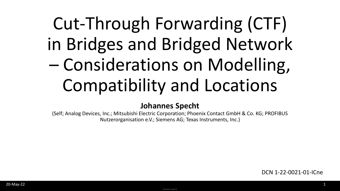## Cut-Through Forwarding (CTF) in Bridges and Bridged Network – Considerations on Modelling, Compatibility and Locations

#### **Johannes Specht**

(Self; Analog Devices, Inc.; Mitsubishi Electric Corporation; Phoenix Contact GmbH & Co. KG; PROFIBUS Nutzerorganisation e.V.; Siemens AG; Texas Instruments, Inc.)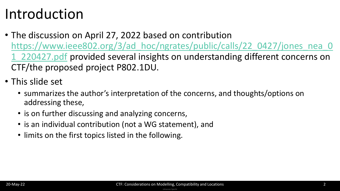### Introduction

- The discussion on April 27, 2022 based on contribution https://www.ieee802.org/3/ad hoc/ngrates/public/calls/22\_0427/jones\_nea\_0 1\_220427.pdf provided several insights on understanding different concerns on CTF/the proposed project P802.1DU.
- This slide set
	- summarizes the author's interpretation of the concerns, and thoughts/options on addressing these,
	- is on further discussing and analyzing concerns,
	- is an individual contribution (not a WG statement), and
	- limits on the first topics listed in the following.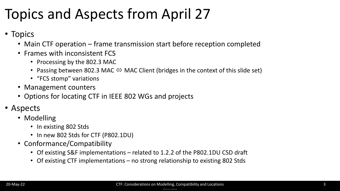### Topics and Aspects from April 27

- Topics
	- Main CTF operation frame transmission start before reception completed
	- Frames with inconsistent FCS
		- Processing by the 802.3 MAC
		- Passing between 802.3 MAC  $\Leftrightarrow$  MAC Client (bridges in the context of this slide set)
		- "FCS stomp" variations
	- Management counters
	- Options for locating CTF in IEEE 802 WGs and projects
- Aspects
	- Modelling
		- In existing 802 Stds
		- In new 802 Stds for CTF (P802.1DU)
	- Conformance/Compatibility
		- Of existing S&F implementations related to 1.2.2 of the P802.1DU CSD draft
		- Of existing CTF implementations no strong relationship to existing 802 Stds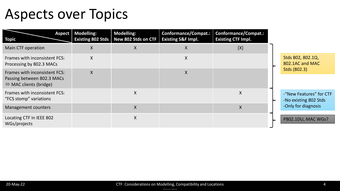### Aspects over Topics

| <b>Topic</b>                                                                                          | Aspect   Modelling:<br><b>Existing 802 Stds</b> | <b>Modelling:</b><br>New 802 Stds on CTF | <b>Conformance/Compat.:</b><br><b>Existing S&amp;F Impl.</b> | <b>Conformance/Compat.:</b><br><b>Existing CTF Impl.</b> |  |                                                                         |
|-------------------------------------------------------------------------------------------------------|-------------------------------------------------|------------------------------------------|--------------------------------------------------------------|----------------------------------------------------------|--|-------------------------------------------------------------------------|
| Main CTF operation                                                                                    | X                                               | X                                        | X                                                            | [X]                                                      |  |                                                                         |
| Frames with inconsistent FCS:<br>Processing by 802.3 MACs                                             | X                                               |                                          | X                                                            |                                                          |  | Stds 802, 802.1Q,<br>802.1AC and MAC                                    |
| Frames with inconsistent FCS:<br>Passing between 802.3 MACs<br>$\Leftrightarrow$ MAC clients (bridge) | $\sf X$                                         |                                          | X                                                            |                                                          |  | Stds (802.3)                                                            |
| Frames with inconsistent FCS:<br>"FCS stomp" variations                                               |                                                 | X                                        |                                                              | $\sf X$                                                  |  | -"New Features" for CTF<br>-No existing 802 Stds<br>-Only for diagnosis |
| Management counters                                                                                   |                                                 | $\mathsf{X}$                             |                                                              | X                                                        |  |                                                                         |
| Locating CTF in IEEE 802<br>WGs/projects                                                              |                                                 | X.                                       |                                                              |                                                          |  | P802.1DU, MAC WGs?                                                      |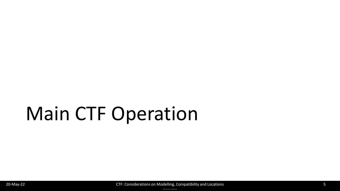## Main CTF Operation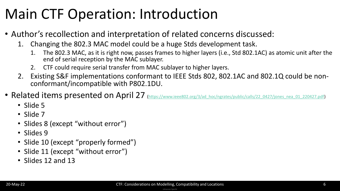### Main CTF Operation: Introduction

- Author's recollection and interpretation of related concerns discussed:
	- 1. Changing the 802.3 MAC model could be a huge Stds development task.
		- 1. The 802.3 MAC, as it is right now, passes frames to higher layers (i.e., Std 802.1AC) as atomic unit after the end of serial reception by the MAC sublayer.
		- 2. CTF could require serial transfer from MAC sublayer to higher layers.
	- 2. Existing S&F implementations conformant to IEEE Stds 802, 802.1AC and 802.1Q could be nonconformant/incompatible with P802.1DU.
- Related items presented on April 27 [\(https://www.ieee802.org/3/ad\\_hoc/ngrates/public/calls/22\\_0427/jones\\_nea\\_01\\_220427.pdf](https://www.ieee802.org/3/ad_hoc/ngrates/public/calls/22_0427/jones_nea_01_220427.pdf))
	- Slide 5
	- Slide 7
	- Slides 8 (except "without error")
	- Slides 9
	- Slide 10 (except "properly formed")
	- Slide 11 (except "without error")
	- Slides 12 and 13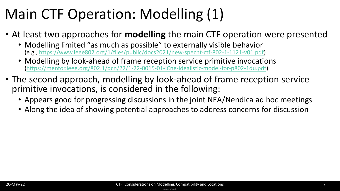### Main CTF Operation: Modelling (1)

- At least two approaches for **modelling** the main CTF operation were presented
	- Modelling limited "as much as possible" to externally visible behavior (e.g., [https://www.ieee802.org/1/files/public/docs2021/new-specht-ctf-802-1-1121-v01.pdf\)](https://www.ieee802.org/1/files/public/docs2021/new-specht-ctf-802-1-1121-v01.pdf)
	- Modelling by look-ahead of frame reception service primitive invocations ([https://mentor.ieee.org/802.1/dcn/22/1-22-0015-01-ICne-idealistic-model-for-p802-1du.pdf\)](https://mentor.ieee.org/802.1/dcn/22/1-22-0015-01-ICne-idealistic-model-for-p802-1du.pdf)
- The second approach, modelling by look-ahead of frame reception service primitive invocations, is considered in the following:
	- Appears good for progressing discussions in the joint NEA/Nendica ad hoc meetings
	- Along the idea of showing potential approaches to address concerns for discussion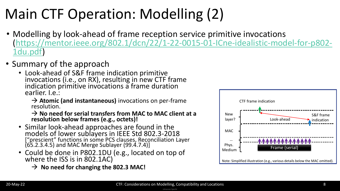## Main CTF Operation: Modelling (2)

- Modelling by look-ahead of frame reception service primitive invocations [\(https://mentor.ieee.org/802.1/dcn/22/1-22-0015-01-ICne-idealistic-model-for-p802-](https://mentor.ieee.org/802.1/dcn/22/1-22-0015-01-ICne-idealistic-model-for-p802-1du.pdf) 1du.pdf)
- Summary of the approach
	- Look-ahead of S&F frame indication primitive invocations (i.e., on RX), resulting in new CTF frame indication primitive invocations a frame duration earlier. I.e.:
		- → **Atomic (and instantaneous)** invocations on per-frame resolution.

→ **No need for serial transfers from MAC to MAC client at a resolution below frames (e.g., octets)!**

- Similar look-ahead approaches are found in the models of lower sublayers in IEEE Std 802.3-2018 ["prescient" functions in some PCS clauses, Reconciliation Layer (65.2.3.4.5) and MAC Merge Sublayer (99.4.7.4)]
- Could be done in P802.1DU (e.g., located on top of where the ISS is in 802.1AC)
	- → **No need for changing the 802.3 MAC!**

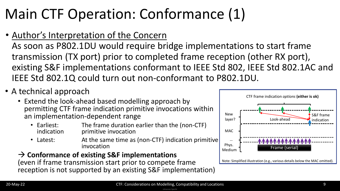## Main CTF Operation: Conformance (1)

• Author's Interpretation of the Concern

As soon as P802.1DU would require bridge implementations to start frame transmission (TX port) prior to completed frame reception (other RX port), existing S&F implementations conformant to IEEE Std 802, IEEE Std 802.1AC and IEEE Std 802.1Q could turn out non-conformant to P802.1DU.

- A technical approach
	- Extend the look-ahead based modelling approach by permitting CTF frame indication primitive invocations within an implementation-dependent range
		- Earliest: The frame duration earlier than the (non-CTF)<br>indication brimitive invocation primitive invocation
		- Latest: At the same time as (non-CTF) indication primitive invocation

#### → **Conformance of existing S&F implementations**

(even if frame transmission start prior to compete frame reception is not supported by an existing S&F implementation)

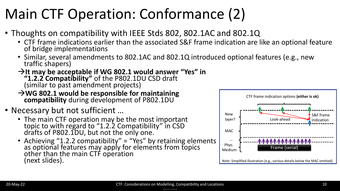## Main CTF Operation: Conformance (2)

- Thoughts on compatibility with IEEE Stds 802, 802.1AC and 802.1Q
	- CTF frame indications earlier than the associated S&F frame indication are like an optional feature of bridge implementations
	- Similar, several amendments to 802.1AC and 802.1Q introduced optional features (e.g., new traffic shapers)
	- →**It may be acceptable if WG 802.1 would answer "Yes" in**

**"1.2.2 Compatibility"** of the P802.1DU CSD draft (similar to past amendment projects)

→**WG 802.1 would be responsible for maintaining** 

**compatibility** during development of P802.1DU

- Necessary but not sufficient …
	- The main CTF operation may be the most important topic to with regard to "1.2.2 Compatibility" in CSD drafts of P802.1DU, but not the only one.
	- Achieving "1.2.2 compatibility" = "Yes" by retaining elements as optional features may apply for elements from topics other than the main CTF operation (next slides).

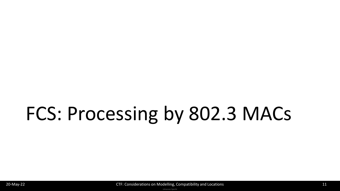# FCS: Processing by 802.3 MACs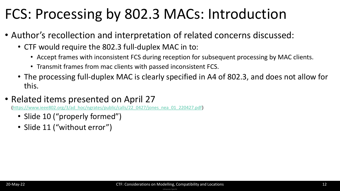### FCS: Processing by 802.3 MACs: Introduction

- Author's recollection and interpretation of related concerns discussed:
	- CTF would require the 802.3 full-duplex MAC in to:
		- Accept frames with inconsistent FCS during reception for subsequent processing by MAC clients.
		- Transmit frames from mac clients with passed inconsistent FCS.
	- The processing full-duplex MAC is clearly specified in A4 of 802.3, and does not allow for this.
- Related items presented on April 27

//www.ieee802.org/3/ad\_hoc/ngrates/public/calls/22\_0427/jones\_nea\_01\_220427.pdf)

- Slide 10 ("properly formed")
- Slide 11 ("without error")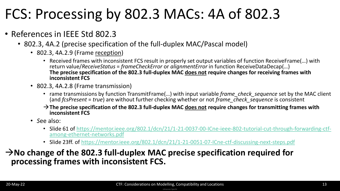### FCS: Processing by 802.3 MACs: 4A of 802.3

- References in IEEE Std 802.3
	- 802.3, 4A.2 (precise specification of the full-duplex MAC/Pascal model)
		- 802.3, 4A.2.9 (Frame reception)
			- Received frames with inconsistent FCS result in properly set output variables of function ReceiveFrame(…) with return value/*ReceiveStatus* = *frameCheckError* or *alignmentError* in function ReceiveDataDecap(…) **The precise specification of the 802.3 full-duplex MAC does not require changes for receiving frames with inconsistent FCS**
		- 802.3, 4A.2.8 (Frame transmission)
			- rame transmissions by function TransmitFrame(…) with input variable *frame\_check\_sequence* set by the MAC client (and *fcsPresent* = *true*) are without further checking whether or not *frame\_check\_sequence* is consistent
			- →**The precise specification of the 802.3 full-duplex MAC does not require changes for transmitting frames with inconsistent FCS**
		- *S*ee also:
			- [Slide 61 of https://mentor.ieee.org/802.1/dcn/21/1-21-0037-00-ICne-ieee-802-tutorial-cut-through-forwarding-ctf](https://mentor.ieee.org/802.1/dcn/21/1-21-0037-00-ICne-ieee-802-tutorial-cut-through-forwarding-ctf-among-ethernet-networks.pdf)among-ethernet-networks.pdf
			- Slide 23ff. of<https://mentor.ieee.org/802.1/dcn/21/1-21-0051-07-ICne-ctf-discussing-next-steps.pdf>

### →**No change of the 802.3 full-duplex MAC precise specification required for processing frames with inconsistent FCS.**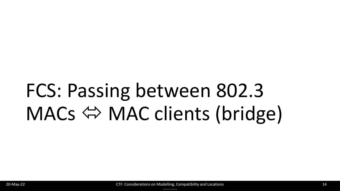# FCS: Passing between 802.3 MACs  $\Leftrightarrow$  MAC clients (bridge)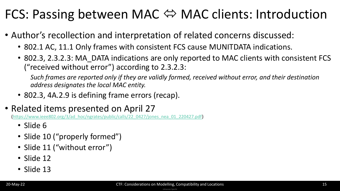### FCS: Passing between MAC  $\Leftrightarrow$  MAC clients: Introduction

- Author's recollection and interpretation of related concerns discussed:
	- 802.1 AC, 11.1 Only frames with consistent FCS cause MUNITDATA indications.
	- 802.3, 2.3.2.3: MA\_DATA indications are only reported to MAC clients with consistent FCS ("received without error") according to 2.3.2.3:

*Such frames are reported only if they are validly formed, received without error, and their destination address designates the local MAC entity.*

- 802.3, 4A.2.9 is defining frame errors (recap).
- Related items presented on April 27

[\(https://www.ieee802.org/3/ad\\_hoc/ngrates/public/calls/22\\_0427/jones\\_nea\\_01\\_220427.pdf](https://www.ieee802.org/3/ad_hoc/ngrates/public/calls/22_0427/jones_nea_01_220427.pdf))

- Slide 6
- Slide 10 ("properly formed")
- Slide 11 ("without error")
- Slide 12
- Slide 13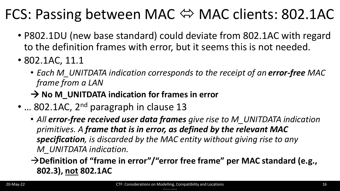### FCS: Passing between MAC ⇔ MAC clients: 802.1AC

- P802.1DU (new base standard) could deviate from 802.1AC with regard to the definition frames with error, but it seems this is not needed.
- 802.1AC, 11.1
	- *Each M\_UNITDATA indication corresponds to the receipt of an error-free MAC frame from a LAN*
	- → **No M\_UNITDATA indication for frames in error**
- ... 802.1AC, 2<sup>nd</sup> paragraph in clause 13
	- All error-free received user data frames give rise to M UNITDATA indication *primitives. A frame that is in error, as defined by the relevant MAC specification, is discarded by the MAC entity without giving rise to any M\_UNITDATA indication.*
	- →**Definition of "frame in error"/"error free frame" per MAC standard (e.g., 802.3), not 802.1AC**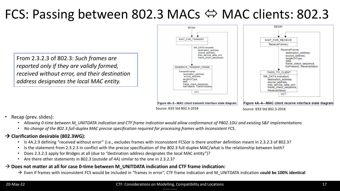### FCS: Passing between 802.3 MACs  $\Leftrightarrow$  MAC clients: 802.3

From 2.3.2.3 of 802.3: *Such frames are reported only if they are validly formed, received without error, and their destination address designates the local MAC entity.*



- Recap (prev. slides):
	- *Allowing 0-time between M\_UNITDATA indication and CTF frame indication would allow conformance of P802.1DU and existing S&F implementations*
	- *No change of the 802.3 full-duplex MAC precise specification required for processing frames with inconsistent FCS.*

#### → **Clarification desirable (802.3WG):**

- Is 4A.2.9 defining "received without error" (i.e., excludes frames with inconsistent FCS)or is there another definition meant in 2.3.2.3 of 802.3?
- Is the statement from 2.3.2.3 in conflict with the precise specification of the 802.3 full-duplex MAC/what is the relationship between both?
- Does 2.3.2.3 apply for Bridges at all (due to "destination address designates the local MAC entity")?
- Are there other statements in 802.3 (outside of 4A) similar to the one in 2.3.2.3?

#### → **Does not matter at all for case 0-time between M\_UNITDATA indication and CTF frame indication:**

→ Even if frames with inconsistent FCS would be included in "frames in error", CTF frame indication and M\_UNITDATA indication **could be 100% identical**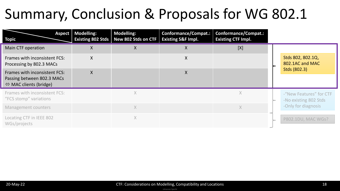### Summary, Conclusion & Proposals for WG 802.1

| <b>Aspect</b><br><b>Topic</b>                                                                         | <b>Modelling:</b><br><b>Existing 802 Stds</b> | <b>Modelling:</b><br>New 802 Stds on CTF | <b>Conformance/Compat.:</b><br><b>Existing S&amp;F Impl.</b> | <b>Conformance/Compat.:</b><br><b>Existing CTF Impl.</b> |  |                                                                         |
|-------------------------------------------------------------------------------------------------------|-----------------------------------------------|------------------------------------------|--------------------------------------------------------------|----------------------------------------------------------|--|-------------------------------------------------------------------------|
| Main CTF operation                                                                                    | Χ                                             | X                                        | A                                                            | [X]                                                      |  |                                                                         |
| Frames with inconsistent FCS:<br>Processing by 802.3 MACs                                             | $\mathsf{X}$                                  |                                          | X                                                            |                                                          |  | Stds 802, 802.1Q,<br>802.1AC and MAC                                    |
| Frames with inconsistent FCS:<br>Passing between 802.3 MACs<br>$\Leftrightarrow$ MAC clients (bridge) | $\sf X$                                       |                                          | X                                                            |                                                          |  | Stds (802.3)                                                            |
| Frames with inconsistent FCS:<br>"FCS stomp" variations                                               |                                               | $\times$                                 |                                                              | $\times$                                                 |  | -"New Features" for CTF<br>-No existing 802 Stds<br>-Only for diagnosis |
| Management counters                                                                                   |                                               | $\times$                                 |                                                              | $\chi$                                                   |  |                                                                         |
| Locating CTF in IEEE 802<br>WGs/projects                                                              |                                               | $\times$                                 |                                                              |                                                          |  | P802.1DU, MAC WGs?                                                      |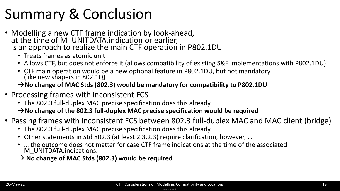### Summary & Conclusion

- Modelling a new CTF frame indication by look-ahead, at the time of M\_UNITDATA.indication or earlier, is an approach to realize the main CTF operation in P802.1DU
	- Treats frames as atomic unit
	- Allows CTF, but does not enforce it (allows compatibility of existing S&F implementations with P802.1DU)
	- CTF main operation would be a new optional feature in P802.1DU, but not mandatory (like new shapers in 802.1Q)

#### →**No change of MAC Stds (802.3) would be mandatory for compatibility to P802.1DU**

- Processing frames with inconsistent FCS
	- The 802.3 full-duplex MAC precise specification does this already

→**No change of the 802.3 full-duplex MAC precise specification would be required**

- Passing frames with inconsistent FCS between 802.3 full-duplex MAC and MAC client (bridge)
	- The 802.3 full-duplex MAC precise specification does this already
	- Other statements in Std 802.3 (at least 2.3.2.3) require clarification, however, …
	- … the outcome does not matter for case CTF frame indications at the time of the associated M\_UNITDATA.indications.

→ **No change of MAC Stds (802.3) would be required**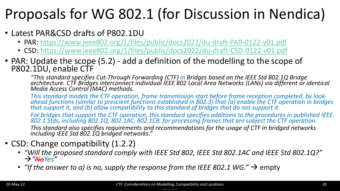### Proposals for WG 802.1 (for Discussion in Nendica)

- Latest PAR&CSD drafts of P802.1DU
	- PAR:<https://www.ieee802.org/1/files/public/docs2022/du-draft-PAR-0122-v01.pdf>
	- CSD: <https://www.ieee802.org/1/files/public/docs2022/du-draft-CSD-0122-v01.pdf>
- PAR: Update the scope (5.2) add a definition of the modelling to the scope of P802.1DU, enable CTF

*"This standard specifies Cut-Through Forwarding (CTF) in Bridges based on the IEEE Std 802.1Q Bridge architecture. CTF Bridges interconnect individual IEEE 802 Local Area Networks (LANs) via different or identical Media Access Control (MAC) methods.* 

*This standard models the CTF operation, frame transmission start before frame reception completed, by lookahead functions (similar to prescient functions established in 802.3) that (a) enable the CTF operation in bridges that support it, and (b) allow compatibility to this standard of bridges that do not support it.*

*For bridges that support the CTF operation, this standard specifies additions to the procedures in published IEEE 802.1 Stds, including 802.1Q, 802.1AC, 802.1CB, for processing frames that are subject the CTF operation.*

*This standard also specifies requirements and recommendations for the usage of CTF in bridged networks including IEEE Std 802.1Q bridged networks."*

### • CSD: Change compatibility (1.2.2)

- *"Will the proposed standard comply with IEEE Std 802, IEEE Std 802.1AC and IEEE Std 802.1Q?"* →*"NoYes"*
- "If the answer to a) is no, supply the response from the IEEE 802.1 WG."  $\rightarrow$  empty